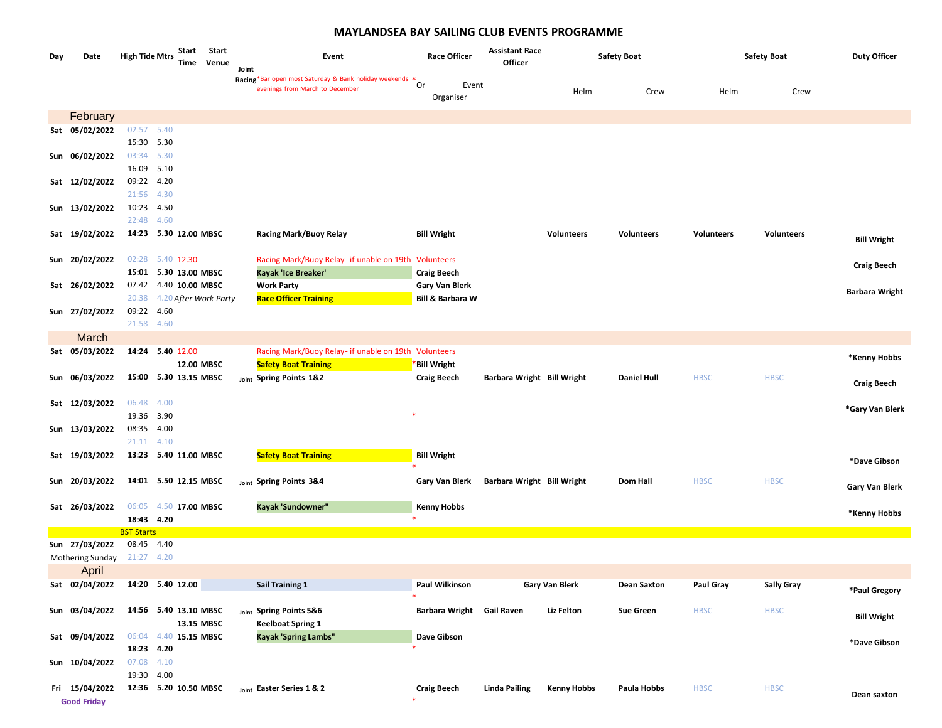## **MAYLANDSEA BAY SAILING CLUB EVENTS PROGRAMME**

| Day | Date               | <b>High Tide Mtrs</b>    |                  | Start<br>Start<br>Time<br>Venue     |       | Event                                                   | <b>Race Officer</b>         | <b>Assistant Race</b><br>Officer |                       | <b>Safety Boat</b> |                   | <b>Safety Boat</b> | <b>Duty Officer</b>   |
|-----|--------------------|--------------------------|------------------|-------------------------------------|-------|---------------------------------------------------------|-----------------------------|----------------------------------|-----------------------|--------------------|-------------------|--------------------|-----------------------|
|     |                    |                          |                  |                                     | Joint | Racing*Bar open most Saturday & Bank holiday weekends * | Or<br>Event                 |                                  |                       |                    |                   |                    |                       |
|     |                    |                          |                  |                                     |       | evenings from March to December                         | Organiser                   |                                  | Helm                  | Crew               | Helm              | Crew               |                       |
|     | February           |                          |                  |                                     |       |                                                         |                             |                                  |                       |                    |                   |                    |                       |
|     | Sat 05/02/2022     | 02:57 5.40               |                  |                                     |       |                                                         |                             |                                  |                       |                    |                   |                    |                       |
|     |                    | 15:30 5.30               |                  |                                     |       |                                                         |                             |                                  |                       |                    |                   |                    |                       |
|     | Sun 06/02/2022     | 03:34 5.30               |                  |                                     |       |                                                         |                             |                                  |                       |                    |                   |                    |                       |
|     |                    | 16:09 5.10               |                  |                                     |       |                                                         |                             |                                  |                       |                    |                   |                    |                       |
|     | Sat 12/02/2022     | 09:22 4.20<br>21:56 4.30 |                  |                                     |       |                                                         |                             |                                  |                       |                    |                   |                    |                       |
|     | Sun 13/02/2022     | 10:23 4.50               |                  |                                     |       |                                                         |                             |                                  |                       |                    |                   |                    |                       |
|     |                    | 22:48 4.60               |                  |                                     |       |                                                         |                             |                                  |                       |                    |                   |                    |                       |
|     | Sat 19/02/2022     |                          |                  | 14:23 5.30 12.00 MBSC               |       | <b>Racing Mark/Buoy Relay</b>                           | <b>Bill Wright</b>          |                                  | <b>Volunteers</b>     | Volunteers         | <b>Volunteers</b> | <b>Volunteers</b>  |                       |
|     |                    |                          |                  |                                     |       |                                                         |                             |                                  |                       |                    |                   |                    | <b>Bill Wright</b>    |
|     | Sun 20/02/2022     |                          | 02:28 5.40 12.30 |                                     |       | Racing Mark/Buoy Relay- if unable on 19th Volunteers    |                             |                                  |                       |                    |                   |                    |                       |
|     |                    |                          |                  | 15:01 5.30 13.00 MBSC               |       | Kayak 'Ice Breaker'                                     | <b>Craig Beech</b>          |                                  |                       |                    |                   |                    | <b>Craig Beech</b>    |
|     | Sat 26/02/2022     |                          |                  | 07:42 4.40 10.00 MBSC               |       | <b>Work Party</b>                                       | <b>Gary Van Blerk</b>       |                                  |                       |                    |                   |                    | <b>Barbara Wright</b> |
|     |                    | 20:38                    |                  | 4.20 After Work Party               |       | <b>Race Officer Training</b>                            | <b>Bill &amp; Barbara W</b> |                                  |                       |                    |                   |                    |                       |
|     | Sun 27/02/2022     | 09:22 4.60               |                  |                                     |       |                                                         |                             |                                  |                       |                    |                   |                    |                       |
|     |                    | 21:58 4.60               |                  |                                     |       |                                                         |                             |                                  |                       |                    |                   |                    |                       |
|     | March              |                          |                  |                                     |       |                                                         |                             |                                  |                       |                    |                   |                    |                       |
|     | Sat 05/03/2022     |                          | 14:24 5.40 12.00 |                                     |       | Racing Mark/Buoy Relay- if unable on 19th Volunteers    |                             |                                  |                       |                    |                   |                    | *Kenny Hobbs          |
|     | Sun 06/03/2022     |                          |                  | 12.00 MBSC<br>15:00 5.30 13.15 MBSC |       | <b>Safety Boat Training</b>                             | *Bill Wright                |                                  |                       | <b>Daniel Hull</b> |                   | <b>HBSC</b>        |                       |
|     |                    |                          |                  |                                     |       | Joint Spring Points 1&2                                 | <b>Craig Beech</b>          | Barbara Wright Bill Wright       |                       |                    | <b>HBSC</b>       |                    | <b>Craig Beech</b>    |
|     | Sat 12/03/2022     | 06:48                    | 4.00             |                                     |       |                                                         |                             |                                  |                       |                    |                   |                    |                       |
|     |                    | 19:36 3.90               |                  |                                     |       |                                                         |                             |                                  |                       |                    |                   |                    | *Gary Van Blerk       |
|     | Sun 13/03/2022     | 08:35 4.00               |                  |                                     |       |                                                         |                             |                                  |                       |                    |                   |                    |                       |
|     |                    | 21:11 4.10               |                  |                                     |       |                                                         |                             |                                  |                       |                    |                   |                    |                       |
|     | Sat 19/03/2022     |                          |                  | 13:23 5.40 11.00 MBSC               |       | <b>Safety Boat Training</b>                             | <b>Bill Wright</b>          |                                  |                       |                    |                   |                    | *Dave Gibson          |
|     |                    |                          |                  |                                     |       |                                                         |                             |                                  |                       |                    |                   |                    |                       |
|     | Sun 20/03/2022     |                          |                  | 14:01 5.50 12.15 MBSC               |       | Joint Spring Points 3&4                                 | Gary Van Blerk              | Barbara Wright Bill Wright       |                       | Dom Hall           | <b>HBSC</b>       | <b>HBSC</b>        | Gary Van Blerk        |
|     |                    |                          |                  |                                     |       |                                                         |                             |                                  |                       |                    |                   |                    |                       |
|     | Sat 26/03/2022     | 18:43 4.20               |                  | 06:05 4.50 17.00 MBSC               |       | Kayak 'Sundowner"                                       | <b>Kenny Hobbs</b>          |                                  |                       |                    |                   |                    | *Kenny Hobbs          |
|     |                    | <b>BST Starts</b>        |                  |                                     |       |                                                         |                             |                                  |                       |                    |                   |                    |                       |
|     | Sun 27/03/2022     | 08:45 4.40               |                  |                                     |       |                                                         |                             |                                  |                       |                    |                   |                    |                       |
|     | Mothering Sunday   | 21:27 4.20               |                  |                                     |       |                                                         |                             |                                  |                       |                    |                   |                    |                       |
|     | April              |                          |                  |                                     |       |                                                         |                             |                                  |                       |                    |                   |                    |                       |
|     | Sat 02/04/2022     |                          | 14:20 5.40 12.00 |                                     |       | <b>Sail Training 1</b>                                  | Paul Wilkinson              |                                  | <b>Gary Van Blerk</b> | <b>Dean Saxton</b> | Paul Gray         | <b>Sally Gray</b>  | *Paul Gregory         |
|     |                    |                          |                  |                                     |       |                                                         |                             |                                  |                       |                    |                   |                    |                       |
|     | Sun 03/04/2022     |                          |                  | 14:56 5.40 13.10 MBSC               |       | Joint Spring Points 5&6                                 | Barbara Wright Gail Raven   |                                  | <b>Liz Felton</b>     | <b>Sue Green</b>   | <b>HBSC</b>       | <b>HBSC</b>        | <b>Bill Wright</b>    |
|     |                    |                          |                  | 13.15 MBSC                          |       | <b>Keelboat Spring 1</b>                                |                             |                                  |                       |                    |                   |                    |                       |
|     | Sat 09/04/2022     |                          |                  | 06:04 4.40 15.15 MBSC               |       | <b>Kayak 'Spring Lambs"</b>                             | Dave Gibson                 |                                  |                       |                    |                   |                    | *Dave Gibson          |
|     | Sun 10/04/2022     | 18:23 4.20<br>07:08 4.10 |                  |                                     |       |                                                         |                             |                                  |                       |                    |                   |                    |                       |
|     |                    | 19:30 4.00               |                  |                                     |       |                                                         |                             |                                  |                       |                    |                   |                    |                       |
|     | Fri 15/04/2022     |                          |                  | 12:36 5.20 10.50 MBSC               |       | Joint Easter Series 1 & 2                               | <b>Craig Beech</b>          | <b>Linda Pailing</b>             | <b>Kenny Hobbs</b>    | Paula Hobbs        | <b>HBSC</b>       | <b>HBSC</b>        |                       |
|     | <b>Good Friday</b> |                          |                  |                                     |       |                                                         |                             |                                  |                       |                    |                   |                    | Dean saxton           |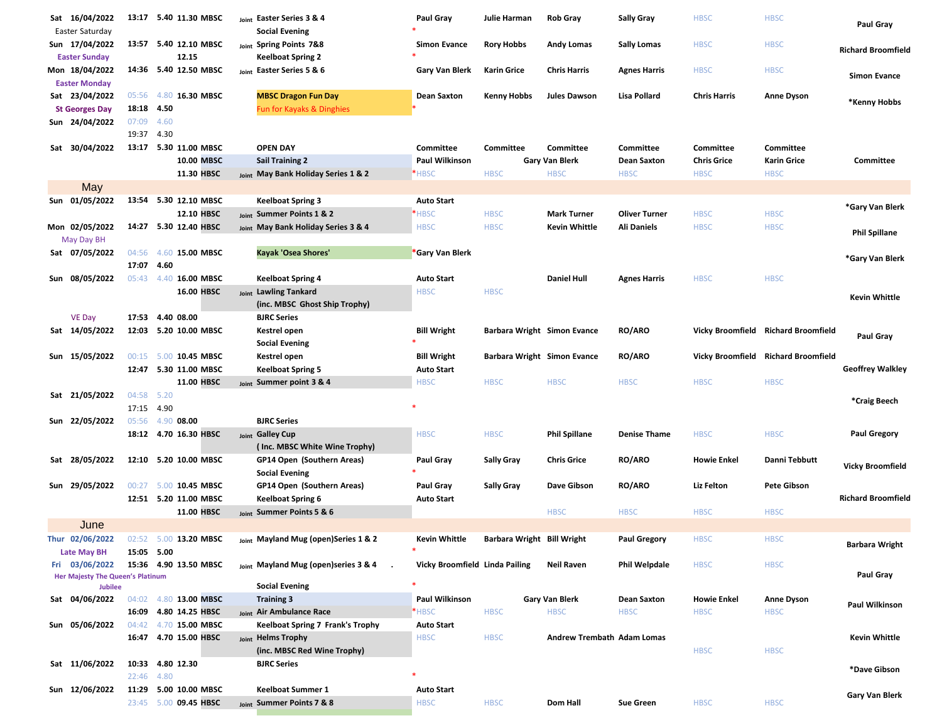| Sat 16/04/2022                          |            | 13:17 5.40 11.30 MBSC | Joint Easter Series 3 & 4                               | Paul Gray                      | Julie Harman                | <b>Rob Gray</b>                   | <b>Sally Gray</b>    | <b>HBSC</b>         | <b>HBSC</b>                         | Paul Gray                 |
|-----------------------------------------|------------|-----------------------|---------------------------------------------------------|--------------------------------|-----------------------------|-----------------------------------|----------------------|---------------------|-------------------------------------|---------------------------|
| Easter Saturday                         |            |                       | <b>Social Evening</b>                                   |                                |                             |                                   |                      |                     |                                     |                           |
| Sun 17/04/2022                          |            | 13:57 5.40 12.10 MBSC | Joint Spring Points 7&8                                 | <b>Simon Evance</b>            | <b>Rory Hobbs</b>           | <b>Andy Lomas</b>                 | <b>Sally Lomas</b>   | <b>HBSC</b>         | <b>HBSC</b>                         | <b>Richard Broomfield</b> |
| <b>Easter Sunday</b>                    |            | 12.15                 | <b>Keelboat Spring 2</b>                                |                                |                             |                                   |                      |                     |                                     |                           |
| Mon 18/04/2022                          |            | 14:36 5.40 12.50 MBSC | Joint Easter Series 5 & 6                               | Gary Van Blerk                 | <b>Karin Grice</b>          | <b>Chris Harris</b>               | <b>Agnes Harris</b>  | <b>HBSC</b>         | <b>HBSC</b>                         | <b>Simon Evance</b>       |
| <b>Easter Monday</b>                    |            | 05:56 4.80 16.30 MBSC |                                                         |                                |                             |                                   | Lisa Pollard         |                     |                                     |                           |
| Sat 23/04/2022<br><b>St Georges Day</b> | 18:18 4.50 |                       | <b>MBSC Dragon Fun Day</b><br>Fun for Kayaks & Dinghies | <b>Dean Saxton</b>             | <b>Kenny Hobbs</b>          | <b>Jules Dawson</b>               |                      | <b>Chris Harris</b> | <b>Anne Dyson</b>                   | *Kenny Hobbs              |
| Sun 24/04/2022                          | 07:09 4.60 |                       |                                                         |                                |                             |                                   |                      |                     |                                     |                           |
|                                         | 19:37 4.30 |                       |                                                         |                                |                             |                                   |                      |                     |                                     |                           |
| Sat 30/04/2022                          |            | 13:17 5.30 11.00 MBSC | <b>OPEN DAY</b>                                         | Committee                      | Committee                   | Committee                         | Committee            | Committee           | Committee                           |                           |
|                                         |            | 10.00 MBSC            | <b>Sail Training 2</b>                                  | Paul Wilkinson                 |                             | Gary Van Blerk                    | <b>Dean Saxton</b>   | <b>Chris Grice</b>  | Karin Grice                         | Committee                 |
|                                         |            | 11.30 HBSC            | Joint May Bank Holiday Series 1 & 2                     | *HBSC                          | <b>HBSC</b>                 | <b>HBSC</b>                       | <b>HBSC</b>          | <b>HBSC</b>         | <b>HBSC</b>                         |                           |
| May                                     |            |                       |                                                         |                                |                             |                                   |                      |                     |                                     |                           |
| Sun 01/05/2022                          |            | 13:54 5.30 12.10 MBSC | Keelboat Spring 3                                       | <b>Auto Start</b>              |                             |                                   |                      |                     |                                     |                           |
|                                         |            | 12.10 HBSC            | Joint Summer Points 1 & 2                               | *HBSC                          | <b>HBSC</b>                 | <b>Mark Turner</b>                | <b>Oliver Turner</b> | <b>HBSC</b>         | <b>HBSC</b>                         | *Gary Van Blerk           |
| Mon 02/05/2022                          |            | 14:27 5.30 12.40 HBSC | Joint May Bank Holiday Series 3 & 4                     | <b>HBSC</b>                    | <b>HBSC</b>                 | Kevin Whittle                     | Ali Daniels          | <b>HBSC</b>         | <b>HBSC</b>                         |                           |
| May Day BH                              |            |                       |                                                         |                                |                             |                                   |                      |                     |                                     | <b>Phil Spillane</b>      |
| Sat 07/05/2022                          |            | 04:56 4.60 15.00 MBSC | Kayak 'Osea Shores'                                     | *Gary Van Blerk                |                             |                                   |                      |                     |                                     |                           |
|                                         | 17:07 4.60 |                       |                                                         |                                |                             |                                   |                      |                     |                                     | *Gary Van Blerk           |
| Sun 08/05/2022                          |            | 05:43 4.40 16.00 MBSC | <b>Keelboat Spring 4</b>                                | <b>Auto Start</b>              |                             | <b>Daniel Hull</b>                | <b>Agnes Harris</b>  | <b>HBSC</b>         | <b>HBSC</b>                         |                           |
|                                         |            | 16.00 HBSC            | Joint Lawling Tankard                                   | <b>HBSC</b>                    | <b>HBSC</b>                 |                                   |                      |                     |                                     |                           |
|                                         |            |                       | (inc. MBSC Ghost Ship Trophy)                           |                                |                             |                                   |                      |                     |                                     | <b>Kevin Whittle</b>      |
| <b>VE Day</b>                           |            | 17:53 4.40 08.00      | <b>BJRC Series</b>                                      |                                |                             |                                   |                      |                     |                                     |                           |
| Sat 14/05/2022                          |            | 12:03 5.20 10.00 MBSC | Kestrel open                                            | <b>Bill Wright</b>             | Barbara Wright Simon Evance |                                   | <b>RO/ARO</b>        |                     | Vicky Broomfield Richard Broomfield |                           |
|                                         |            |                       | <b>Social Evening</b>                                   |                                |                             |                                   |                      |                     |                                     | Paul Gray                 |
| Sun 15/05/2022                          | 00:15      | 5.00 10.45 MBSC       | Kestrel open                                            | <b>Bill Wright</b>             | Barbara Wright Simon Evance |                                   | <b>RO/ARO</b>        |                     | Vicky Broomfield Richard Broomfield |                           |
|                                         |            | 12:47 5.30 11.00 MBSC | <b>Keelboat Spring 5</b>                                | <b>Auto Start</b>              |                             |                                   |                      |                     |                                     | <b>Geoffrey Walkley</b>   |
|                                         |            | 11.00 HBSC            | Joint Summer point 3 & 4                                | <b>HBSC</b>                    | <b>HBSC</b>                 | <b>HBSC</b>                       | <b>HBSC</b>          | <b>HBSC</b>         | <b>HBSC</b>                         |                           |
| Sat 21/05/2022                          | 04:58 5.20 |                       |                                                         |                                |                             |                                   |                      |                     |                                     | *Craig Beech              |
|                                         | 17:15 4.90 |                       |                                                         |                                |                             |                                   |                      |                     |                                     |                           |
| Sun 22/05/2022                          |            | 05:56 4.90 08.00      | <b>BJRC Series</b>                                      |                                |                             |                                   |                      |                     |                                     |                           |
|                                         |            | 18:12 4.70 16.30 HBSC | Joint Galley Cup                                        | <b>HBSC</b>                    | <b>HBSC</b>                 | <b>Phil Spillane</b>              | <b>Denise Thame</b>  | <b>HBSC</b>         | <b>HBSC</b>                         | <b>Paul Gregory</b>       |
|                                         |            |                       | (Inc. MBSC White Wine Trophy)                           |                                |                             |                                   |                      |                     |                                     |                           |
| Sat 28/05/2022                          |            | 12:10 5.20 10.00 MBSC | GP14 Open (Southern Areas)                              | Paul Gray                      | <b>Sally Gray</b>           | <b>Chris Grice</b>                | <b>RO/ARO</b>        | <b>Howie Enkel</b>  | Danni Tebbutt                       | <b>Vicky Broomfield</b>   |
|                                         |            |                       | <b>Social Evening</b>                                   |                                |                             |                                   |                      |                     |                                     |                           |
| Sun 29/05/2022                          |            | 00:27 5.00 10.45 MBSC | GP14 Open (Southern Areas)                              | Paul Gray                      | <b>Sally Gray</b>           | Dave Gibson                       | <b>RO/ARO</b>        | Liz Felton          | Pete Gibson                         |                           |
|                                         |            | 12:51 5.20 11.00 MBSC | <b>Keelboat Spring 6</b>                                | <b>Auto Start</b>              |                             |                                   |                      |                     |                                     | <b>Richard Broomfield</b> |
|                                         |            | 11.00 HBSC            | Joint Summer Points 5 & 6                               |                                |                             | <b>HBSC</b>                       | <b>HBSC</b>          | <b>HBSC</b>         | <b>HBSC</b>                         |                           |
| June                                    |            |                       |                                                         |                                |                             |                                   |                      |                     |                                     |                           |
| Thur 02/06/2022                         |            | 02:52 5.00 13.20 MBSC | Joint Mayland Mug (open)Series 1 & 2                    | <b>Kevin Whittle</b>           | Barbara Wright Bill Wright  |                                   | Paul Gregory         | <b>HBSC</b>         | <b>HBSC</b>                         | <b>Barbara Wright</b>     |
| Late May BH<br>Fri 03/06/2022           | 15:05 5.00 |                       |                                                         |                                |                             | <b>Neil Raven</b>                 |                      |                     |                                     |                           |
| <b>Her Majesty The Queen's Platinum</b> |            | 15:36 4.90 13.50 MBSC | Joint Mayland Mug (open)series 3 & 4                    | Vicky Broomfield Linda Pailing |                             |                                   | Phil Welpdale        | <b>HBSC</b>         | <b>HBSC</b>                         | <b>Paul Grav</b>          |
| <b>Jubilee</b>                          |            |                       | <b>Social Evening</b>                                   |                                |                             |                                   |                      |                     |                                     |                           |
| Sat 04/06/2022                          |            | 04:02 4.80 13.00 MBSC | <b>Training 3</b>                                       | Paul Wilkinson                 |                             | Gary Van Blerk                    | <b>Dean Saxton</b>   | <b>Howie Enkel</b>  | <b>Anne Dyson</b>                   | Paul Wilkinson            |
|                                         |            | 16:09 4.80 14.25 HBSC | <sub>Joint</sub> Air Ambulance Race                     | *HBSC                          | <b>HBSC</b>                 | <b>HBSC</b>                       | <b>HBSC</b>          | <b>HBSC</b>         | <b>HBSC</b>                         |                           |
| Sun 05/06/2022                          |            | 04:42 4.70 15.00 MBSC | Keelboat Spring 7 Frank's Trophy                        | <b>Auto Start</b>              |                             |                                   |                      |                     |                                     |                           |
|                                         |            | 16:47 4.70 15.00 HBSC | Joint Helms Trophy                                      | <b>HBSC</b>                    | <b>HBSC</b>                 | <b>Andrew Trembath Adam Lomas</b> |                      |                     |                                     | <b>Kevin Whittle</b>      |
|                                         |            |                       | (inc. MBSC Red Wine Trophy)                             |                                |                             |                                   |                      | <b>HBSC</b>         | <b>HBSC</b>                         |                           |
| Sat 11/06/2022                          |            | 10:33 4.80 12.30      | <b>BJRC Series</b>                                      |                                |                             |                                   |                      |                     |                                     | *Dave Gibson              |
|                                         | 22:46 4.80 |                       |                                                         |                                |                             |                                   |                      |                     |                                     |                           |
| Sun 12/06/2022                          |            | 11:29 5.00 10.00 MBSC | <b>Keelboat Summer 1</b>                                | <b>Auto Start</b>              |                             |                                   |                      |                     |                                     | <b>Gary Van Blerk</b>     |
|                                         |            | 23:45 5.00 09.45 HBSC | Joint Summer Points 7 & 8                               | <b>HBSC</b>                    | <b>HBSC</b>                 | Dom Hall                          | <b>Sue Green</b>     | <b>HBSC</b>         | <b>HBSC</b>                         |                           |
|                                         |            |                       |                                                         |                                |                             |                                   |                      |                     |                                     |                           |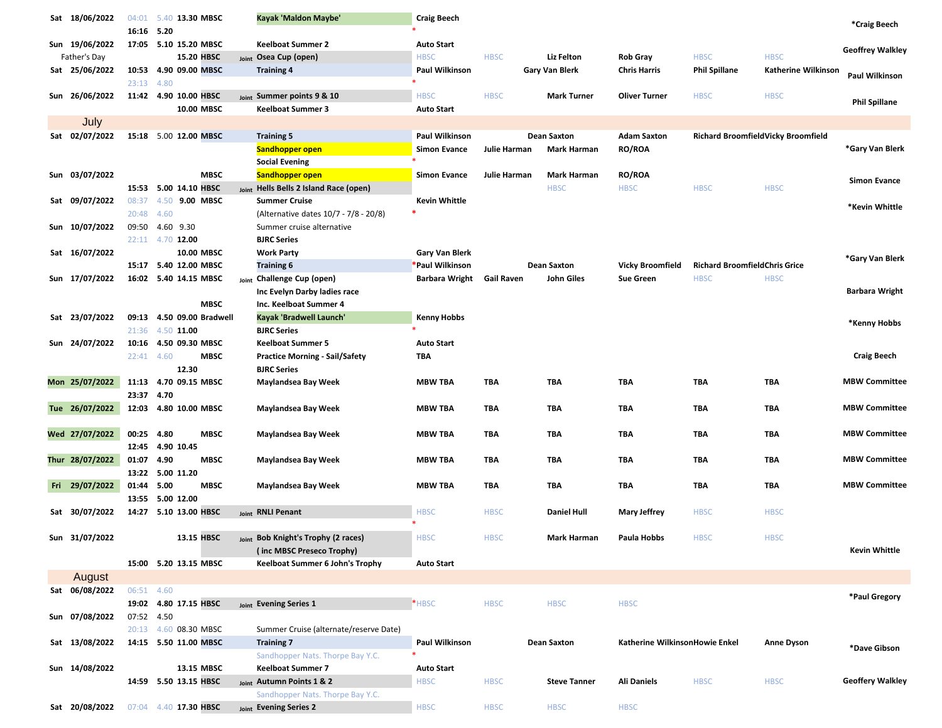| Sat 18/06/2022  | 04:01      | 5.40 13.30 MBSC           | Kayak 'Maldon Maybe'                      | <b>Craig Beech</b>        |              |                       |                                |                                      |                                    | *Craig Beech            |
|-----------------|------------|---------------------------|-------------------------------------------|---------------------------|--------------|-----------------------|--------------------------------|--------------------------------------|------------------------------------|-------------------------|
|                 | 16:16 5.20 |                           |                                           |                           |              |                       |                                |                                      |                                    |                         |
| Sun 19/06/2022  | 17:05      | 5.10 15.20 MBSC           | <b>Keelboat Summer 2</b>                  | <b>Auto Start</b>         |              |                       |                                |                                      |                                    | <b>Geoffrey Walkley</b> |
| Father's Day    |            | 15.20 HBSC                | <sub>Joint</sub> Osea Cup (open)          | <b>HBSC</b>               | <b>HBSC</b>  | Liz Felton            | <b>Rob Gray</b>                | <b>HBSC</b>                          | <b>HBSC</b>                        |                         |
| Sat 25/06/2022  | 23:13 4.80 | 10:53 4.90 09.00 MBSC     | <b>Training 4</b>                         | Paul Wilkinson            |              | <b>Gary Van Blerk</b> | <b>Chris Harris</b>            | <b>Phil Spillane</b>                 | Katherine Wilkinson                | Paul Wilkinson          |
| Sun 26/06/2022  |            | 11:42 4.90 10.00 HBSC     | Joint Summer points 9 & 10                | <b>HBSC</b>               | <b>HBSC</b>  | <b>Mark Turner</b>    | <b>Oliver Turner</b>           | <b>HBSC</b>                          | <b>HBSC</b>                        |                         |
|                 |            | 10.00 MBSC                | <b>Keelboat Summer 3</b>                  | <b>Auto Start</b>         |              |                       |                                |                                      |                                    | Phil Spillane           |
| July            |            |                           |                                           |                           |              |                       |                                |                                      |                                    |                         |
| Sat 02/07/2022  |            | 15:18 5.00 12.00 MBSC     | <b>Training 5</b>                         | Paul Wilkinson            |              | <b>Dean Saxton</b>    | <b>Adam Saxton</b>             |                                      | Richard BroomfieldVicky Broomfield |                         |
|                 |            |                           | <b>Sandhopper open</b>                    | <b>Simon Evance</b>       | Julie Harman | <b>Mark Harman</b>    | <b>RO/ROA</b>                  |                                      |                                    | *Gary Van Blerk         |
|                 |            |                           | <b>Social Evening</b>                     |                           |              |                       |                                |                                      |                                    |                         |
| Sun 03/07/2022  |            | <b>MBSC</b>               | <b>Sandhopper open</b>                    | Simon Evance              | Julie Harman | <b>Mark Harman</b>    | <b>RO/ROA</b>                  |                                      |                                    |                         |
|                 |            | 15:53 5.00 14.10 HBSC     | Hells Bells 2 Island Race (open)<br>Joint |                           |              | <b>HBSC</b>           | <b>HBSC</b>                    | <b>HBSC</b>                          | <b>HBSC</b>                        | <b>Simon Evance</b>     |
| Sat 09/07/2022  | 08:37      | 4.50 9.00 MBSC            | <b>Summer Cruise</b>                      | Kevin Whittle             |              |                       |                                |                                      |                                    |                         |
|                 | 20:48 4.60 |                           | (Alternative dates 10/7 - 7/8 - 20/8)     |                           |              |                       |                                |                                      |                                    | *Kevin Whittle          |
| Sun 10/07/2022  | 09:50      | 4.60 9.30                 | Summer cruise alternative                 |                           |              |                       |                                |                                      |                                    |                         |
|                 |            | 22:11 4.70 12.00          | <b>BJRC Series</b>                        |                           |              |                       |                                |                                      |                                    |                         |
| Sat 16/07/2022  |            | 10.00 MBSC                | <b>Work Party</b>                         | <b>Gary Van Blerk</b>     |              |                       |                                |                                      |                                    |                         |
|                 |            | 15:17   5.40   12.00 MBSC | <b>Training 6</b>                         | Paul Wilkinson            |              | <b>Dean Saxton</b>    | <b>Vicky Broomfield</b>        | <b>Richard BroomfieldChris Grice</b> |                                    | *Gary Van Blerk         |
| Sun 17/07/2022  |            | 16:02 5.40 14.15 MBSC     | Joint Challenge Cup (open)                | Barbara Wright Gail Raven |              | John Giles            | <b>Sue Green</b>               | <b>HBSC</b>                          | <b>HBSC</b>                        |                         |
|                 |            |                           | Inc Evelyn Darby ladies race              |                           |              |                       |                                |                                      |                                    | Barbara Wright          |
|                 |            | <b>MBSC</b>               | Inc. Keelboat Summer 4                    |                           |              |                       |                                |                                      |                                    |                         |
| Sat 23/07/2022  | 09:13      | 4.50 09.00 Bradwell       | Kayak 'Bradwell Launch'                   | <b>Kenny Hobbs</b>        |              |                       |                                |                                      |                                    |                         |
|                 | 21:36      | 4.50 11.00                | <b>BJRC Series</b>                        |                           |              |                       |                                |                                      |                                    | *Kenny Hobbs            |
| Sun 24/07/2022  | 10:16      | 4.50 09.30 MBSC           | <b>Keelboat Summer 5</b>                  | <b>Auto Start</b>         |              |                       |                                |                                      |                                    |                         |
|                 | 22:41 4.60 | <b>MBSC</b>               | <b>Practice Morning - Sail/Safety</b>     | <b>TBA</b>                |              |                       |                                |                                      |                                    | <b>Craig Beech</b>      |
|                 |            | 12.30                     | <b>BJRC Series</b>                        |                           |              |                       |                                |                                      |                                    |                         |
| Mon 25/07/2022  | 11:13      | 4.70 09.15 MBSC           | Maylandsea Bay Week                       | <b>MBW TBA</b>            | TBA          | TBA                   | TBA                            | TBA                                  | <b>TBA</b>                         | <b>MBW Committee</b>    |
|                 | 23:37 4.70 |                           |                                           |                           |              |                       |                                |                                      |                                    |                         |
| Tue 26/07/2022  |            | 12:03 4.80 10.00 MBSC     | Maylandsea Bay Week                       | <b>MBW TBA</b>            | TBA          | TBA                   | <b>TBA</b>                     | <b>TBA</b>                           | <b>TBA</b>                         | <b>MBW Committee</b>    |
|                 |            |                           |                                           |                           |              |                       |                                |                                      |                                    |                         |
| Wed 27/07/2022  | 00:25 4.80 | <b>MBSC</b>               | Maylandsea Bay Week                       | <b>MBW TBA</b>            | TBA          | TBA                   | <b>TBA</b>                     | <b>TBA</b>                           | <b>TBA</b>                         | <b>MBW Committee</b>    |
|                 |            | 12:45 4.90 10.45          |                                           |                           |              |                       |                                |                                      |                                    |                         |
| Thur 28/07/2022 | 01:07 4.90 | MBSC                      | Maylandsea Bay Week                       | <b>MBW TBA</b>            | TBA          | <b>TBA</b>            | <b>TBA</b>                     | <b>TBA</b>                           | <b>TBA</b>                         | <b>MBW Committee</b>    |
|                 |            | 13:22 5.00 11.20          |                                           |                           |              |                       |                                |                                      |                                    |                         |
| Fri 29/07/2022  | 01:44 5.00 | <b>MBSC</b>               | Maylandsea Bay Week                       | <b>MBW TBA</b>            | <b>TBA</b>   | <b>TBA</b>            | <b>TBA</b>                     | <b>TBA</b>                           | <b>TBA</b>                         | <b>MBW Committee</b>    |
|                 |            | 13:55 5.00 12.00          |                                           |                           |              |                       |                                |                                      |                                    |                         |
| Sat 30/07/2022  |            | 14:27 5.10 13.00 HBSC     | Joint RNLI Penant                         | <b>HBSC</b>               | <b>HBSC</b>  | <b>Daniel Hull</b>    | Mary Jeffrey                   | <b>HBSC</b>                          | <b>HBSC</b>                        |                         |
| Sun 31/07/2022  |            | 13.15 HBSC                | Joint Bob Knight's Trophy (2 races)       | <b>HBSC</b>               | <b>HBSC</b>  | Mark Harman           | Paula Hobbs                    | <b>HBSC</b>                          | <b>HBSC</b>                        |                         |
|                 |            |                           | (inc MBSC Preseco Trophy)                 |                           |              |                       |                                |                                      |                                    | <b>Kevin Whittle</b>    |
|                 |            | 15:00 5.20 13.15 MBSC     | Keelboat Summer 6 John's Trophy           | <b>Auto Start</b>         |              |                       |                                |                                      |                                    |                         |
| August          |            |                           |                                           |                           |              |                       |                                |                                      |                                    |                         |
| Sat 06/08/2022  | 06:51 4.60 |                           |                                           |                           |              |                       |                                |                                      |                                    |                         |
|                 |            | 19:02 4.80 17.15 HBSC     | Joint Evening Series 1                    | *HBSC                     | <b>HBSC</b>  | <b>HBSC</b>           | <b>HBSC</b>                    |                                      |                                    | *Paul Gregory           |
| Sun 07/08/2022  | 07:52 4.50 |                           |                                           |                           |              |                       |                                |                                      |                                    |                         |
|                 |            | 20:13 4.60 08.30 MBSC     | Summer Cruise (alternate/reserve Date)    |                           |              |                       |                                |                                      |                                    |                         |
| Sat 13/08/2022  |            | 14:15  5.50  11.00 MBSC   | <b>Training 7</b>                         | Paul Wilkinson            |              | <b>Dean Saxton</b>    | Katherine WilkinsonHowie Enkel |                                      | <b>Anne Dyson</b>                  |                         |
|                 |            |                           | Sandhopper Nats. Thorpe Bay Y.C.          |                           |              |                       |                                |                                      |                                    | *Dave Gibson            |
| Sun 14/08/2022  |            | 13.15 MBSC                | <b>Keelboat Summer 7</b>                  | <b>Auto Start</b>         |              |                       |                                |                                      |                                    |                         |
|                 |            | 14:59 5.50 13.15 HBSC     | Joint Autumn Points 1 & 2                 | <b>HBSC</b>               | <b>HBSC</b>  | <b>Steve Tanner</b>   | Ali Daniels                    | <b>HBSC</b>                          | <b>HBSC</b>                        | <b>Geoffery Walkley</b> |
|                 |            |                           | Sandhopper Nats. Thorpe Bay Y.C.          |                           |              |                       |                                |                                      |                                    |                         |
| Sat 20/08/2022  |            | 07:04 4.40 17.30 HBSC     | Joint Evening Series 2                    | <b>HBSC</b>               | <b>HBSC</b>  | <b>HBSC</b>           | <b>HBSC</b>                    |                                      |                                    |                         |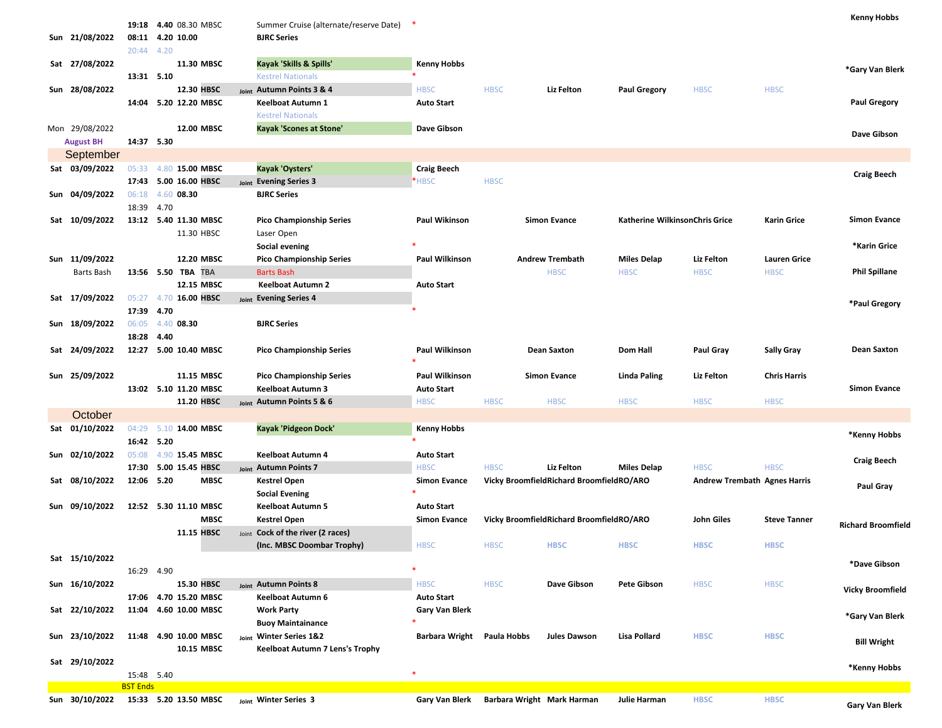| Sun 21/08/2022   | 20:44 4.20                    | 19:18 4.40 08.30 MBSC<br>08:11 4.20 10.00 | Summer Cruise (alternate/reserve Date) *<br><b>BJRC Series</b> |                                  |             |                                          |                                |                                     |                     | Kenny Hobbs               |
|------------------|-------------------------------|-------------------------------------------|----------------------------------------------------------------|----------------------------------|-------------|------------------------------------------|--------------------------------|-------------------------------------|---------------------|---------------------------|
| Sat 27/08/2022   |                               | 11.30 MBSC                                | Kayak 'Skills & Spills'                                        | Kenny Hobbs                      |             |                                          |                                |                                     |                     | *Gary Van Blerk           |
|                  | 13:31 5.10                    |                                           | <b>Kestrel Nationals</b>                                       |                                  |             |                                          |                                |                                     |                     |                           |
| Sun 28/08/2022   |                               | 12.30 HBSC<br>14:04 5.20 12.20 MBSC       | Joint Autumn Points 3 & 4                                      | <b>HBSC</b>                      | <b>HBSC</b> | Liz Felton                               | <b>Paul Gregory</b>            | <b>HBSC</b>                         | <b>HBSC</b>         | <b>Paul Gregory</b>       |
|                  |                               |                                           | Keelboat Autumn 1<br><b>Kestrel Nationals</b>                  | <b>Auto Start</b>                |             |                                          |                                |                                     |                     |                           |
| Mon 29/08/2022   |                               | 12.00 MBSC                                | <b>Kayak 'Scones at Stone'</b>                                 | Dave Gibson                      |             |                                          |                                |                                     |                     |                           |
| <b>August BH</b> | 14:37 5.30                    |                                           |                                                                |                                  |             |                                          |                                |                                     |                     | Dave Gibson               |
| September        |                               |                                           |                                                                |                                  |             |                                          |                                |                                     |                     |                           |
| Sat 03/09/2022   |                               | 05:33 4.80 15.00 MBSC                     | Kayak 'Oysters'                                                | <b>Craig Beech</b>               |             |                                          |                                |                                     |                     |                           |
|                  |                               | 17:43 5.00 16.00 HBSC                     | Joint Evening Series 3                                         | *HBSC                            | <b>HBSC</b> |                                          |                                |                                     |                     | <b>Craig Beech</b>        |
| Sun 04/09/2022   | 06:18                         | 4.60 08.30                                | <b>BJRC Series</b>                                             |                                  |             |                                          |                                |                                     |                     |                           |
|                  | 18:39 4.70                    |                                           |                                                                |                                  |             |                                          |                                |                                     |                     |                           |
| Sat 10/09/2022   |                               | 13:12  5.40  11.30 MBSC                   | Pico Championship Series                                       | Paul Wikinson                    |             | <b>Simon Evance</b>                      | Katherine WilkinsonChris Grice |                                     | <b>Karin Grice</b>  | <b>Simon Evance</b>       |
|                  |                               | 11.30 HBSC                                | Laser Open                                                     |                                  |             |                                          |                                |                                     |                     |                           |
|                  |                               |                                           | Social evening                                                 |                                  |             |                                          |                                |                                     |                     | *Karin Grice              |
| Sun 11/09/2022   |                               | 12.20 MBSC                                | <b>Pico Championship Series</b>                                | Paul Wilkinson                   |             | <b>Andrew Trembath</b>                   | <b>Miles Delap</b>             | Liz Felton                          | <b>Lauren Grice</b> |                           |
| Barts Bash       |                               | 13:56 5.50 TBA TBA                        | <b>Barts Bash</b>                                              |                                  |             | <b>HBSC</b>                              | <b>HBSC</b>                    | <b>HBSC</b>                         | <b>HBSC</b>         | <b>Phil Spillane</b>      |
|                  |                               | 12.15 MBSC                                | <b>Keelboat Autumn 2</b>                                       | <b>Auto Start</b>                |             |                                          |                                |                                     |                     |                           |
| Sat 17/09/2022   | 05:27                         | 4.70 16.00 HBSC                           | Joint Evening Series 4                                         |                                  |             |                                          |                                |                                     |                     | *Paul Gregory             |
|                  | 17:39 4.70                    |                                           |                                                                |                                  |             |                                          |                                |                                     |                     |                           |
| Sun 18/09/2022   |                               | 06:05 4.40 08.30                          | <b>BJRC Series</b>                                             |                                  |             |                                          |                                |                                     |                     |                           |
|                  | 18:28 4.40                    |                                           |                                                                |                                  |             |                                          |                                |                                     |                     |                           |
| Sat 24/09/2022   |                               | 12:27 5.00 10.40 MBSC                     | <b>Pico Championship Series</b>                                | Paul Wilkinson                   |             | <b>Dean Saxton</b>                       | Dom Hall                       | Paul Gray                           | <b>Sally Gray</b>   | <b>Dean Saxton</b>        |
|                  |                               |                                           |                                                                |                                  |             |                                          |                                |                                     |                     |                           |
| Sun 25/09/2022   |                               | 11.15 MBSC<br>13:02 5.10 11.20 MBSC       | <b>Pico Championship Series</b><br><b>Keelboat Autumn 3</b>    | Paul Wilkinson                   |             | <b>Simon Evance</b>                      | Linda Paling                   | Liz Felton                          | <b>Chris Harris</b> | <b>Simon Evance</b>       |
|                  |                               | 11.20 HBSC                                | <sub>Joint</sub> Autumn Points 5 & 6                           | <b>Auto Start</b><br><b>HBSC</b> | <b>HBSC</b> | <b>HBSC</b>                              | <b>HBSC</b>                    | <b>HBSC</b>                         | <b>HBSC</b>         |                           |
| October          |                               |                                           |                                                                |                                  |             |                                          |                                |                                     |                     |                           |
| Sat 01/10/2022   | 04:29                         | 5.10 14.00 MBSC                           | Kayak 'Pidgeon Dock'                                           | Kenny Hobbs                      |             |                                          |                                |                                     |                     |                           |
|                  | 16:42 5.20                    |                                           |                                                                |                                  |             |                                          |                                |                                     |                     | *Kenny Hobbs              |
| Sun 02/10/2022   | 05:08                         | 4.90 15.45 MBSC                           | Keelboat Autumn 4                                              | <b>Auto Start</b>                |             |                                          |                                |                                     |                     |                           |
|                  | 17:30                         | 5.00 15.45 HBSC                           | Joint Autumn Points 7                                          | <b>HBSC</b>                      | <b>HBSC</b> | Liz Felton                               | <b>Miles Delap</b>             | <b>HBSC</b>                         | <b>HBSC</b>         | <b>Craig Beech</b>        |
| Sat 08/10/2022   | 12:06 5.20                    | <b>MBSC</b>                               | Kestrel Open                                                   | <b>Simon Evance</b>              |             | Vicky BroomfieldRichard BroomfieldRO/ARO |                                | <b>Andrew Trembath Agnes Harris</b> |                     |                           |
|                  |                               |                                           | <b>Social Evening</b>                                          |                                  |             |                                          |                                |                                     |                     | Paul Gray                 |
| Sun 09/10/2022   |                               | 12:52 5.30 11.10 MBSC                     | Keelboat Autumn 5                                              | <b>Auto Start</b>                |             |                                          |                                |                                     |                     |                           |
|                  |                               | <b>MBSC</b>                               | <b>Kestrel Open</b>                                            | <b>Simon Evance</b>              |             | Vicky BroomfieldRichard BroomfieldRO/ARO |                                | John Giles                          | <b>Steve Tanner</b> | <b>Richard Broomfield</b> |
|                  |                               | 11.15 HBSC                                | loint Cock of the river (2 races)                              |                                  |             |                                          |                                |                                     |                     |                           |
|                  |                               |                                           | (Inc. MBSC Doombar Trophy)                                     | <b>HBSC</b>                      | <b>HBSC</b> | <b>HBSC</b>                              | <b>HBSC</b>                    | <b>HBSC</b>                         | <b>HBSC</b>         |                           |
| Sat 15/10/2022   |                               |                                           |                                                                |                                  |             |                                          |                                |                                     |                     | *Dave Gibson              |
|                  | 16:29 4.90                    |                                           |                                                                |                                  |             |                                          |                                |                                     |                     |                           |
| Sun 16/10/2022   |                               | 15.30 HBSC                                | Joint Autumn Points 8                                          | <b>HBSC</b>                      | <b>HBSC</b> | Dave Gibson                              | Pete Gibson                    | <b>HBSC</b>                         | <b>HBSC</b>         | <b>Vicky Broomfield</b>   |
|                  |                               | 17:06 4.70 15.20 MBSC                     | Keelboat Autumn 6                                              | <b>Auto Start</b>                |             |                                          |                                |                                     |                     |                           |
| Sat 22/10/2022   |                               | 11:04 4.60 10.00 MBSC                     | <b>Work Party</b>                                              | <b>Gary Van Blerk</b>            |             |                                          |                                |                                     |                     | *Gary Van Blerk           |
|                  |                               |                                           | <b>Buoy Maintainance</b>                                       |                                  |             |                                          |                                |                                     |                     |                           |
| Sun 23/10/2022   |                               | 11:48 4.90 10.00 MBSC                     | Joint Winter Series 1&2                                        | Barbara Wright Paula Hobbs       |             | <b>Jules Dawson</b>                      | <b>Lisa Pollard</b>            | <b>HBSC</b>                         | <b>HBSC</b>         | <b>Bill Wright</b>        |
|                  |                               | 10.15 MBSC                                | Keelboat Autumn 7 Lens's Trophy                                |                                  |             |                                          |                                |                                     |                     |                           |
| Sat 29/10/2022   |                               |                                           |                                                                |                                  |             |                                          |                                |                                     |                     | *Kenny Hobbs              |
|                  | 15:48 5.40<br><b>BST Ends</b> |                                           |                                                                |                                  |             |                                          |                                |                                     |                     |                           |
|                  |                               |                                           |                                                                |                                  |             |                                          |                                |                                     |                     |                           |
| Sun 30/10/2022   |                               | 15:33 5.20 13.50 MBSC                     | Joint Winter Series 3                                          | Gary Van Blerk                   |             | Barbara Wright Mark Harman               | Julie Harman                   | <b>HBSC</b>                         | <b>HBSC</b>         | <b>Gary Van Blerk</b>     |